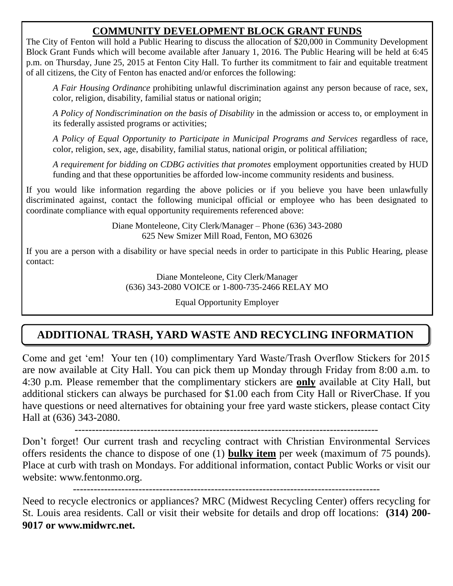#### **COMMUNITY DEVELOPMENT BLOCK GRANT FUNDS**

The City of Fenton will hold a Public Hearing to discuss the allocation of \$20,000 in Community Development Block Grant Funds which will become available after January 1, 2016. The Public Hearing will be held at 6:45 p.m. on Thursday, June 25, 2015 at Fenton City Hall. To further its commitment to fair and equitable treatment of all citizens, the City of Fenton has enacted and/or enforces the following:

*A Fair Housing Ordinance* prohibiting unlawful discrimination against any person because of race, sex, color, religion, disability, familial status or national origin;

*A Policy of Nondiscrimination on the basis of Disability* in the admission or access to, or employment in its federally assisted programs or activities;

*A Policy of Equal Opportunity to Participate in Municipal Programs and Services* regardless of race, color, religion, sex, age, disability, familial status, national origin, or political affiliation;

*A requirement for bidding on CDBG activities that promotes* employment opportunities created by HUD funding and that these opportunities be afforded low-income community residents and business.

If you would like information regarding the above policies or if you believe you have been unlawfully discriminated against, contact the following municipal official or employee who has been designated to coordinate compliance with equal opportunity requirements referenced above:

> Diane Monteleone, City Clerk/Manager – Phone (636) 343-2080 625 New Smizer Mill Road, Fenton, MO 63026

If you are a person with a disability or have special needs in order to participate in this Public Hearing, please contact:

> Diane Monteleone, City Clerk/Manager (636) 343-2080 VOICE or 1-800-735-2466 RELAY MO

> > Equal Opportunity Employer

### **ADDITIONAL TRASH, YARD WASTE AND RECYCLING INFORMATION**

Come and get 'em! Your ten (10) complimentary Yard Waste/Trash Overflow Stickers for 2015 are now available at City Hall. You can pick them up Monday through Friday from 8:00 a.m. to 4:30 p.m. Please remember that the complimentary stickers are **only** available at City Hall, but additional stickers can always be purchased for \$1.00 each from City Hall or RiverChase. If you have questions or need alternatives for obtaining your free yard waste stickers, please contact City Hall at (636) 343-2080.

----------------------------------------------------------------------------------------

Don't forget! Our current trash and recycling contract with Christian Environmental Services offers residents the chance to dispose of one (1) **bulky item** per week (maximum of 75 pounds). Place at curb with trash on Mondays. For additional information, contact Public Works or visit our website: www.fentonmo.org.

-----------------------------------------------------------------------------------------

Need to recycle electronics or appliances? MRC (Midwest Recycling Center) offers recycling for St. Louis area residents. Call or visit their website for details and drop off locations: **(314) 200- 9017 or www.midwrc.net.**